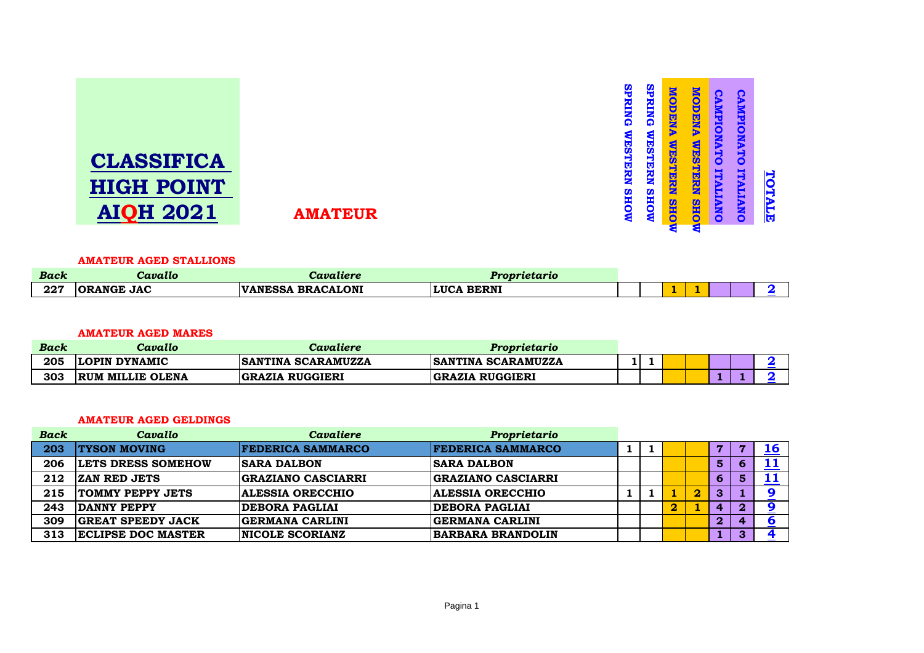| <b>AMATEUR</b> | ω<br>ť<br><b>RING</b><br>S<br>STERN<br><b>NOHS</b> | <u>ဖ</u><br>RING<br>€<br>ç,<br><b>ST</b><br><b>FRN</b><br><b>MOHS</b> | <b>MUODENA</b><br><b>WESTERN</b><br><b>SHO</b><br>₹ | MODEN<br>D<br>WEST<br><b>FRINT</b><br><b>SHO</b><br>ৱ | <b>AMPIONAT</b><br>Õ<br><b>TTALIANO</b> | Ω<br>æ<br>ENLP<br>TAMAT<br>0<br>Ę<br>œ<br>æ<br><b>NO</b> | H<br>Œ<br>E |
|----------------|----------------------------------------------------|-----------------------------------------------------------------------|-----------------------------------------------------|-------------------------------------------------------|-----------------------------------------|----------------------------------------------------------|-------------|
|----------------|----------------------------------------------------|-----------------------------------------------------------------------|-----------------------------------------------------|-------------------------------------------------------|-----------------------------------------|----------------------------------------------------------|-------------|

# **CLASSIFICA HIGH POINT AIQH 2021**

#### **AMATEUR AGED STALLIONS**

| <b>Back</b> | Cavallo                   | zvaliere                                                                 | <u> arietario de la conte</u> |  |     |     |  |  |
|-------------|---------------------------|--------------------------------------------------------------------------|-------------------------------|--|-----|-----|--|--|
| 227         | <b>JAC</b><br><b>ANGE</b> | <b>BRACALONI</b><br><b>IVANI</b><br><b>BAA</b><br>'NI F<br>$\sim$ .<br>. | <b>RERNI</b><br>LIIC<br>.     |  | . . | . . |  |  |

## **AMATEUR AGED MARES**

| Back | Cavallo                 | Cavaliere                 | Proprietario              |  |  |  |  |
|------|-------------------------|---------------------------|---------------------------|--|--|--|--|
| 205  | <b>LOPIN DYNAMIC</b>    | <b>SANTINA SCARAMUZZA</b> | <b>SANTINA SCARAMUZZA</b> |  |  |  |  |
| 303  | <b>RUM MILLIE OLENA</b> | <b>GRAZIA RUGGIERI</b>    | <b>GRAZIA RUGGIERI</b>    |  |  |  |  |

#### **AMATEUR AGED GELDINGS**

| <b>Back</b> | Cavallo                   | <b>Cavaliere</b>          | Proprietario              |  |          |                         |              |              |           |
|-------------|---------------------------|---------------------------|---------------------------|--|----------|-------------------------|--------------|--------------|-----------|
| 203         | <b>TYSON MOVING</b>       | <b>FEDERICA SAMMARCO</b>  | <b>FEDERICA SAMMARCO</b>  |  |          |                         | 7            |              | <b>16</b> |
| 206         | <b>LETS DRESS SOMEHOW</b> | <b>SARA DALBON</b>        | <b>ISARA DALBON</b>       |  |          |                         | 5            | O            |           |
| 212         | <b>ZAN RED JETS</b>       | <b>GRAZIANO CASCIARRI</b> | <b>GRAZIANO CASCIARRI</b> |  |          |                         | O            | 5            |           |
| 215         | <b>TOMMY PEPPY JETS</b>   | <b>ALESSIA ORECCHIO</b>   | <b>ALESSIA ORECCHIO</b>   |  |          | $\overline{\mathbf{2}}$ | З            |              |           |
| 243         | DANNY PEPPY               | <b>DEBORA PAGLIAI</b>     | <b>DEBORA PAGLIAI</b>     |  | $\bf{2}$ |                         | 4            | $\bf{2}$     |           |
| 309         | <b>GREAT SPEEDY JACK</b>  | <b>GERMANA CARLINI</b>    | <b>GERMANA CARLINI</b>    |  |          |                         | $\mathbf{2}$ | $\mathbf{a}$ |           |
| 313         | <b>ECLIPSE DOC MASTER</b> | <b>NICOLE SCORIANZ</b>    | <b>BARBARA BRANDOLIN</b>  |  |          |                         |              | 3            |           |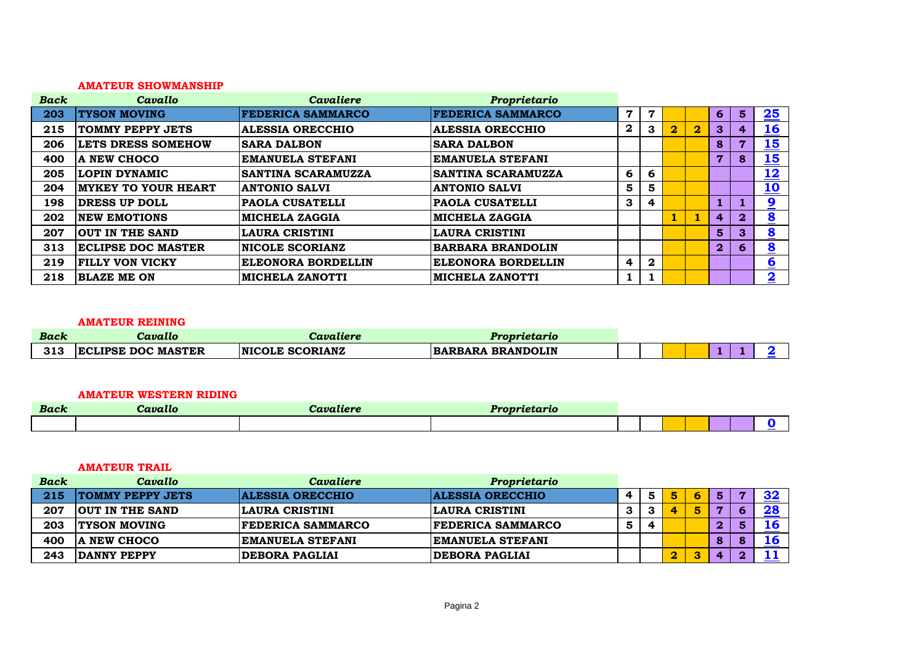#### **AMATEUR SHOWMANSHIP**

| <b>Back</b> | Cavallo                    | <b>Cavaliere</b>          | Proprietario              |                |                  |          |                |                |                |                         |
|-------------|----------------------------|---------------------------|---------------------------|----------------|------------------|----------|----------------|----------------|----------------|-------------------------|
| 203         | <b>TYSON MOVING</b>        | <b>FEDERICA SAMMARCO</b>  | <b>FEDERICA SAMMARCO</b>  | $\overline{7}$ | 7                |          |                | 6              | $5\phantom{1}$ | 25                      |
| 215         | <b>TOMMY PEPPY JETS</b>    | <b>ALESSIA ORECCHIO</b>   | <b>ALESSIA ORECCHIO</b>   | $\bf{2}$       | 3                | $\bf{2}$ | $\overline{2}$ | 3              | 4              | <u>16</u>               |
| 206         | <b>LETS DRESS SOMEHOW</b>  | <b>SARA DALBON</b>        | <b>SARA DALBON</b>        |                |                  |          |                | 8              |                | <u>15</u>               |
| 400         | A NEW CHOCO                | <b>EMANUELA STEFANI</b>   | <b>EMANUELA STEFANI</b>   |                |                  |          |                | 7              | 8              | $\frac{15}{1}$          |
| 205         | <b>LOPIN DYNAMIC</b>       | <b>SANTINA SCARAMUZZA</b> | <b>SANTINA SCARAMUZZA</b> | 6              | 6                |          |                |                |                | <u> 12</u>              |
| 204         | <b>MYKEY TO YOUR HEART</b> | <b>ANTONIO SALVI</b>      | <b>ANTONIO SALVI</b>      | 5              | 5                |          |                |                |                | <u>10</u>               |
| 198         | <b>DRESS UP DOLL</b>       | <b>PAOLA CUSATELLI</b>    | <b>PAOLA CUSATELLI</b>    | 3              | 4                |          |                |                |                | 9                       |
| 202         | <b>NEW EMOTIONS</b>        | <b>MICHELA ZAGGIA</b>     | <b>MICHELA ZAGGIA</b>     |                |                  |          |                | $\overline{4}$ | $\mathbf{2}$   | $\overline{\mathbf{8}}$ |
| 207         | <b>OUT IN THE SAND</b>     | <b>LAURA CRISTINI</b>     | <b>LAURA CRISTINI</b>     |                |                  |          |                | 5              | 3              | $\overline{\mathbf{8}}$ |
| 313         | <b>ECLIPSE DOC MASTER</b>  | <b>NICOLE SCORIANZ</b>    | <b>BARBARA BRANDOLIN</b>  |                |                  |          |                | $\overline{2}$ | 6              | $\overline{\mathbf{8}}$ |
| 219         | <b>FILLY VON VICKY</b>     | ELEONORA BORDELLIN        | ELEONORA BORDELLIN        | 4              | $\boldsymbol{2}$ |          |                |                |                | 6                       |
| 218         | <b>BLAZE ME ON</b>         | <b>MICHELA ZANOTTI</b>    | <b>MICHELA ZANOTTI</b>    | 1              |                  |          |                |                |                | $\overline{\mathbf{2}}$ |

#### **AMATEUR REINING**

| <b>Back</b> | Cavallo                   | Cavaliere              | Proprietario      |  |  |  |  |
|-------------|---------------------------|------------------------|-------------------|--|--|--|--|
| 313         | <b>ECLIPSE DOC MASTER</b> | <b>NICOLE SCORIANZ</b> | BARBARA BRANDOLIN |  |  |  |  |

#### **AMATEUR WESTERN RIDING**

| <b>Back</b> | --<br>Cavallo | <b><i>COMMAND</i></b> | $\mathbf{1}$ , and a set of $\mathbf{1}$ and $\mathbf{1}$ |  |  |  |
|-------------|---------------|-----------------------|-----------------------------------------------------------|--|--|--|
|             |               |                       |                                                           |  |  |  |

## **AMATEUR TRAIL**

| <b>Back</b> | Cavallo                 | Cavaliere                | Proprietario             |   |            |   |   |                  |           |
|-------------|-------------------------|--------------------------|--------------------------|---|------------|---|---|------------------|-----------|
| 215         | <b>TOMMY PEPPY JETS</b> | <b>ALESSIA ORECCHIO</b>  | <b>ALESSIA ORECCHIO</b>  | 4 |            |   | 6 | 5                | 32        |
| 207         | <b>OUT IN THE SAND</b>  | <b>LAURA CRISTINI</b>    | LAURA CRISTINI           | 3 |            | 4 |   |                  | 28        |
| 203         | <b>TYSON MOVING</b>     | <b>FEDERICA SAMMARCO</b> | <b>FEDERICA SAMMARCO</b> | 5 | $\sqrt{ }$ |   |   | $\bf{2}$         | <b>16</b> |
| 400         | NEW CHOCO               | <b>EMANUELA STEFANI</b>  | <b>IEMANUELA STEFANI</b> |   |            |   |   | 8                | <b>16</b> |
| 243         | DANNY PEPPY             | <b>DEBORA PAGLIAI</b>    | <b>DEBORA PAGLIAI</b>    |   |            |   | っ | $\boldsymbol{A}$ |           |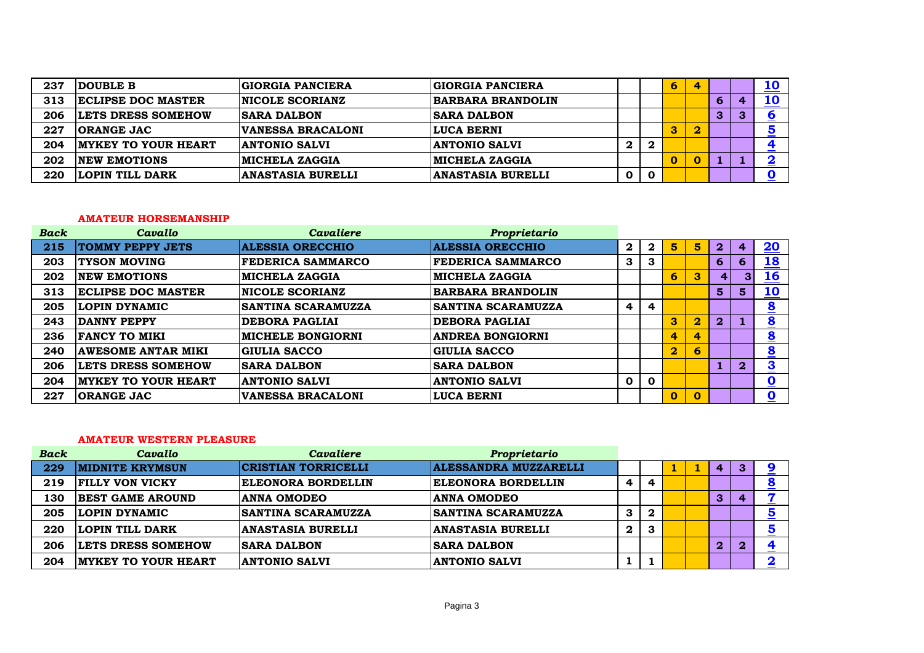| 237 | <b>DOUBLE B</b>             | <b>GIORGIA PANCIERA</b>  | <b>GIORGIA PANCIERA</b>  |   |          | 6 |   |   | <u> 10</u>                    |
|-----|-----------------------------|--------------------------|--------------------------|---|----------|---|---|---|-------------------------------|
| 313 | <b>IECLIPSE DOC MASTER</b>  | <b>NICOLE SCORIANZ</b>   | <b>BARBARA BRANDOLIN</b> |   |          |   |   | Ю | <u> 10</u>                    |
| 206 | <b>LETS DRESS SOMEHOW</b>   | <b>SARA DALBON</b>       | <b>SARA DALBON</b>       |   |          |   |   | З | O<br>$\overline{\phantom{a}}$ |
| 227 | <b>ORANGE JAC</b>           | VANESSA BRACALONI        | <b>LUCA BERNI</b>        |   |          | З | 2 |   | <u>5</u>                      |
| 204 | <b>IMYKEY TO YOUR HEART</b> | <b>ANTONIO SALVI</b>     | <b>ANTONIO SALVI</b>     | 2 | 2        |   |   |   | $\overline{\phantom{a}}$      |
| 202 | <b>INEW EMOTIONS</b>        | <b>MICHELA ZAGGIA</b>    | <b>MICHELA ZAGGIA</b>    |   |          |   |   |   | ▀                             |
| 220 | LOPIN TILL DARK             | <b>ANASTASIA BURELLI</b> | <b>ANASTASIA BURELLI</b> | O | $\bf{0}$ |   |   |   |                               |

#### **AMATEUR HORSEMANSHIP**

| <b>Back</b> | Cavallo                    | <b>Cavaliere</b>          | Proprietario              |              |             |                         |                         |              |                |                             |
|-------------|----------------------------|---------------------------|---------------------------|--------------|-------------|-------------------------|-------------------------|--------------|----------------|-----------------------------|
| 215         | <b>TOMMY PEPPY JETS</b>    | <b>ALESSIA ORECCHIO</b>   | <b>ALESSIA ORECCHIO</b>   | $\mathbf{2}$ | $\mathbf 2$ | 5                       | 5                       | $\bf{2}$     | 4              | 20                          |
| 203         | <b>TYSON MOVING</b>        | <b>FEDERICA SAMMARCO</b>  | <b>FEDERICA SAMMARCO</b>  | 3            | 3           |                         |                         | 6            | 6              | <u>18</u>                   |
| 202         | <b>NEW EMOTIONS</b>        | <b>MICHELA ZAGGIA</b>     | <b>MICHELA ZAGGIA</b>     |              |             | 6                       | 3                       |              | 3 <sup>1</sup> | <u>16</u>                   |
| 313         | <b>ECLIPSE DOC MASTER</b>  | <b>NICOLE SCORIANZ</b>    | <b>BARBARA BRANDOLIN</b>  |              |             |                         |                         | 5            | 5              | 10                          |
| 205         | LOPIN DYNAMIC              | <b>SANTINA SCARAMUZZA</b> | <b>SANTINA SCARAMUZZA</b> | 4            | 4           |                         |                         |              |                | $\overline{\mathbf{8}}$     |
| 243         | <b>DANNY PEPPY</b>         | <b>DEBORA PAGLIAI</b>     | <b>DEBORA PAGLIAI</b>     |              |             | $\mathbf{3}$            | $\overline{\mathbf{2}}$ | $\mathbf{2}$ |                | $\overline{\mathbf{8}}$     |
| 236         | <b>FANCY TO MIKI</b>       | <b>MICHELE BONGIORNI</b>  | <b>ANDREA BONGIORNI</b>   |              |             | 4                       | 4                       |              |                | $\underline{\underline{8}}$ |
| 240         | <b>AWESOME ANTAR MIKI</b>  | <b>GIULIA SACCO</b>       | <b>GIULIA SACCO</b>       |              |             | $\overline{\mathbf{2}}$ | 6                       |              |                | $\overline{\mathbf{8}}$     |
| 206         | <b>LETS DRESS SOMEHOW</b>  | <b>SARA DALBON</b>        | <b>SARA DALBON</b>        |              |             |                         |                         |              | $\overline{2}$ | 3<br><u>_</u>               |
| 204         | <b>MYKEY TO YOUR HEART</b> | <b>ANTONIO SALVI</b>      | <b>ANTONIO SALVI</b>      | $\mathbf 0$  | 0           |                         |                         |              |                | $\overline{\mathbf{0}}$     |
| 227         | <b>ORANGE JAC</b>          | <b>VANESSA BRACALONI</b>  | <b>LUCA BERNI</b>         |              |             | $\mathbf 0$             | 0                       |              |                | $\overline{\mathbf{0}}$     |

## **AMATEUR WESTERN PLEASURE**

| <b>Back</b> | Cavallo                    | <b>Cavaliere</b>           | Proprietario                 |              |   |  |                |   |                               |
|-------------|----------------------------|----------------------------|------------------------------|--------------|---|--|----------------|---|-------------------------------|
| 229         | <b>MIDNITE KRYMSUN</b>     | <b>CRISTIAN TORRICELLI</b> | <b>ALESSANDRA MUZZARELLI</b> |              |   |  | 4              | з |                               |
| 219         | <b>FILLY VON VICKY</b>     | <b>ELEONORA BORDELLIN</b>  | <b>ELEONORA BORDELLIN</b>    | 4            |   |  |                |   | ≗                             |
| 130         | <b>BEST GAME AROUND</b>    | <b>ANNA OMODEO</b>         | <b>ANNA OMODEO</b>           |              |   |  | 3              | 4 | $\overline{\phantom{a}}$      |
| 205         | LOPIN DYNAMIC              | <b>SANTINA SCARAMUZZA</b>  | <b>ISANTINA SCARAMUZZA</b>   | 3            | 2 |  |                |   | <u>5</u>                      |
| 220         | LOPIN TILL DARK            | <b>ANASTASIA BURELLI</b>   | <b>ANASTASIA BURELLI</b>     | $\mathbf{2}$ | 3 |  |                |   | $\overline{\mathbf{5}}$       |
| 206         | <b>LETS DRESS SOMEHOW</b>  | <b>SARA DALBON</b>         | <b>ISARA DALBON</b>          |              |   |  | $\overline{2}$ |   | 4<br>$\overline{\phantom{a}}$ |
| 204         | <b>MYKEY TO YOUR HEART</b> | <b>ANTONIO SALVI</b>       | <b>ANTONIO SALVI</b>         |              |   |  |                |   | $\overline{\mathbf{2}}$       |